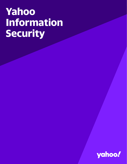# **Yahoo Information Security**

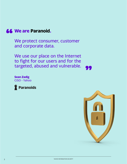

We protect consumer, customer and corporate data.

We use our place on the Internet to fight for our users and for the targeted, abused and vulnerable.

99

**Sean Zadig** CISO - Yahoo



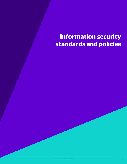# **Information security standards and policies**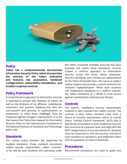

# **Policy**

**Yahoo has a comprehensively documented Information Security Policy which incorporates the entirety of the Yahoo enterprise and features risk assessment, hardened configurations, vulnerability remediation, and incident response controls.** 

# **Policy framework**

A comprehensive approach to information security is essential to protect the interests of Yahoo, as well as the interests of its affiliates, subsidiaries, customers, and vendors. Cybersecurity risks are ever-present and growing in sophistication, so preparation to meet these challenges must be measured against stringent requirements. It is for that reason that Yahoo has mapped its Information Security Policy to the Cybersecurity Framework of the National Institute of Standards and Technology (NIST CSF).

#### **Standards**

The various policy domains are supported by multiple standards. These standard documents outline specific requirements, called "controls," to be met by each business unit operating under the Yahoo corporate umbrella. Ensuring that each business unit meets these mandatory controls creates a uniform approach to information security across the entire Yahoo enterprise. Security standards and controls are administered by the Yahoo Paranoids team, who serve as subject matter experts and provide a central authority for standard implementation. When each business unit implements standards in a uniform manner, the Yahoo enterprise as a whole is more secure against sophisticated cybersecurity threats.

# **Controls**

The specific, mandatory security requirements outlined in each standard are called controls. The controls in each Yahoo standard come from a library of security requirements within an overall Yahoo "Unified Control Framework" (UCF) that is specifically formulated to both implement security best practices at a granular level, and align with the NIST categorization of security standards. Business units are expected to view the security controls of each standard as mandatory, and implement them with the guidance of Yahoo's Paranoids.

#### **Procedures**

Documented procedures are used to guide and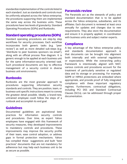standardize implementation of the controls listed in each standard. Just as standards and controls must be uniformly adopted across the Yahoo enterprise, the procedures supporting them are implemented the same way across the business units. These procedures have two levels of granularity: Standard Operating Procedures (SOPs) and Runbooks.

# **Standard operating procedures (SOPs)**

Standard operating procedures are step-by step workflows for security processes. Each workflow incorporates both generic tasks (e.g. "peer review") as well as more detailed sub-steps (e.g. "distribute to peer business sponsors via email"), along with an official process flow diagram. It is generic enough to be applied at each business unit for the same information-security oriented task. Such procedural documents are key to effective management of a security control in diverse business unit environments.

#### **Runbooks**

Runbooks are the most granular approach to procedures supporting information security standards and controls. They are position, team, or business-unit specific instructions meant to convey the greatest detail possible. Ideally, a brand-new, untrained employee could follow the steps of a runbook and accomplish its end goal.

#### **Guidelines**

Documented guidelines are aspirational best practices for information security controls and procedures. Over time, as expert Yahoo employees have engaged with this framework of security measures, they developed improvements to mandatory controls and procedures. These improvements may improve the security profile of their team, ease control adoption, or address gaps in formal protection mechanisms. Yahoo has compiled these suggestions and built "best practices" documents that are not mandatory for adherence but may help each business unit to be as secure as possible.

# **Paranoids review**

The Paranoids act as the stewards of policy and standard documentation that is to be applied across the Yahoo enterprise, subsidiaries, and its affiliates. Each document is reviewed at least once annually for updates and changes due to new requirements. They also store the documentation and ensure it is properly applied, in coordination with business units and subject matter experts.

#### **Compliance**

A key advantage of the Yahoo enterprise policy and standards documentation approach is that documents can be brought into alignment both internally and with external regulations or expectations. While the overarching policy framework is intentionally aligned with NIST, various controls and procedures account for the treatment of particularly sensitive or regulated data and its storage or processing. For example, GDPR or HIPAA protections are embodied where appropriate, and provide proof of fully integrated compliance with these important regulatory regimes. Furthermore, contractual obligations, including PCI DSS and Standard Contractual Clauses (SCCs), can be addressed through proper documentation.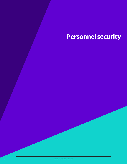# **Personnel security**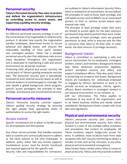# **Personnel security**

**Yahoo's Personnel Security Plan aims to protect and defend the organization's infrastructure by controlling access to secure assets, and supporting a guiding security strategy.**

#### **Personnel security overview**

An effective personnel security strategy is one of the cornerstones of an organization's cybersecurity posture. It dictates how exactly the organization handles employees, determines access to secure (physical and digital) assets, and ensures the responsible handling of third party vendors and contingent workers. Yahoo has a detailed personnel security plan that addresses risks across many disciplines throughout the organization and is dedicated to maintaining a safe and secure environment for all parties involved.

Protecting both physical and access security are crucial parts of Yahoo's guiding enterprise security plan. The personnel security plan is periodically reviewed by both internal security teams as well as external auditors to minimize gaps in coverage. The plan details a global background check program, specific access paradigms, the principle of least privilege, and physical and environmental security.

#### **Personnel security measures**

Yahoo's Personnel Security controls support Yahoo's guiding security strategy by ensuring the right people have appropriate levels of authorization to access the right assets.

#### Access control

Specific mechanisms are in place to handle access for all employees and third parties.

Any Yahoo service provider that handles sensitive data or systems are contractually bound to adhere to the same policies as full time employees. In addition, policy states that any remote support/ troubleshoot access must be strictly monitored and required approval for the specific role.

Security roles and responsibilities for contractors

are outlined in Yahoo's Information Security Policy which is reviewed on an annual basis. Access follows the principles of need to know, least privilege, and role based access control (RBAC) via an automated process to limit or remove access based upon internal user roles.

The principle of least privilege states that users are limited to access rights for the bare minimum permissions they need to perform their work. Under the principle of least privilege, users are granted permission to read, write or execute only the files or resources they need to do their jobs. In other words, the least amount of privilege necessary.

# Background checks

Yahoo is committed to maintaining a safe and secure environment for its employees, contingent workers, visitors, and members. Background checks help Yahoo determine employment eligibility, protect workplace security and safety, and support compliance efforts. They also assist Yahoo in protecting our property and assets. Background checks are mandatory for individuals employed or engaged by Yahoo's operations to work or to provide services as employees, interns, agents, officers, Board members or contingent workers in our physical environment, in our network, or

with our information. The Policy applies to individuals at any level of the organization, and to all Yahoo business entities and wholly owned subsidiaries. Background checks comply with local laws and regulations.

# **Physical and environmental security**

Yahoo's personnel security plan covers both physical and environmental security. Each Yahoo location is a part of the multiple safety processes and procedures that protect its employees. All Yahoo locations require badge-only access for entry. In addition, most locations have front desk reception with 24/7 security monitoring to detect a number of risks such as fire, intrusion, or any other physical and environmental emergencies.

Data Centers have a similar policy when it comes to physical security. Yahoo uses the practices outlined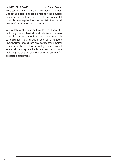in NIST SP 800-53 to support its Data Center Physical and Environmental Protection policies. Dedicated operations teams monitor the physical locations as well as the overall environmental controls on a regular basis to maintain the overall health of the Yahoo infrastructure.

Yahoo data centers use multiple layers of security, including both physical and electronic access controls. Cameras monitor the space internally to document any unauthorized or attempted unauthorized access into any datacenter physical location. In the event of an outage or unplanned event, all security mechanisms must be in place including the use of redundancy in the system for protected equipment.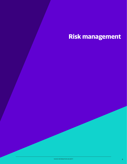# **Risk management**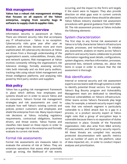# **Risk management**

**Yahoo has a robust risk management strategy that focuses on all aspects of the Yahoo enterprise, ranging from security bugs in software to supply chain & supplier risks.**

#### **Risk management overview**

Information security is paramount at Yahoo. There are inherent security risks that accompany any IT infrastructure - Yahoo is no exception. Cybersecurity risks grow year after year as attackers and threats become more and more sophisticated. All cybersecurity decisions at Yahoo are driven from a thorough understanding of the organization's assets, vulnerabilities, threats, data, and network systems. Risk management at Yahoo involves constantly refining the organization's risk tolerance strategy, formally assessing security risks both internally and via third party auditors, tracking risks using robust ticket management and threat intelligence platforms, and analyzing risks posed by third party vendors and suppliers.

# **Risk policy**

Yahoo has a guiding risk management framework in place which defines how employees and systems should act in order to secure Yahoo and its consumers. Yahoo's formal risk management strategies and risk assessments are used to evaluate how well Yahoo's existing controls and policies protect customers and employees and shield the enterprise from risk. Many inputs impact risk decisions at Yahoo, including regulatory requirements, contractual obligations, business drivers, and threat events. Yahoo frames and classifies risks based on these inputs in order to properly manage risk in the enterprise and formally evaluate its current risk levels.

#### Formal risk assessments

Formal risk assessments are measures taken to evaluate the universe of risk at Yahoo. They are extensive operations that assess what potentially could go wrong, the likelihood of risk events occurring, and the impact to the firm's writ largely if the event were to happen. They also provide direction on what gaps exist in current controls and how/to what extent these should be alleviated. Yahoo follows industry standard risk assessment procedures with general guidance from NIST 800- 30. The risk assessment process at Yahoo includes the following elements:

### System characterization

The first step to any formal risk assessment at Yahoo is to fully characterize Yahoo's infrastructure (people, processes, and technology). To initialize any assessment, analysts on teams across Yahoo's platform and security teams collaborate to provide information regarding asset details, configurations, system diagrams, interface information, processes, personnel lists, network schemas, etc. about the items in scope in order to ensure that the risk assessment is thorough.

# Risk identification

Internal or external security and risk assessment experts across teams walk through systems in order to identify potential threat vectors. For example, Yahoo's Bug Bounty program and Vulnerability Management team are dedicated to identifying technical vulnerabilities on Yahoo's infrastructure. Other teams across Yahoo's Paranoids play large roles; for example, a network security expert might note that one network segment is particularly vulnerable to a DDoS attack due to a gap in a process, or a product security expert at Yahoo might note that a group of encryption keys is vulnerable because there is no separation of duties mechanism in place. Outside of the Paranoids organization, risks also arise from M&A activity, PCI assessments, and third party security reports. All these threats are compiled into securely protected documentation with specific metrics such as number of users on the platform, value of data impacted, etc., in order to conduct impact analyses and prioritization.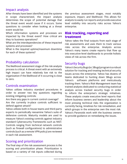### Impact analysis

After threats have been identified and the systems in scope characterized, the impact analysis determines the scope of potential damage that the threat event would cause if it occurs. Some questions to consider when looking at a threat event would be:

Which information systems and processes are impacted by the threat event? How critical are they to business operations?

What are the interdependencies of these impacted systems and processes?

What is the required uptime/maximum downtime for each of these systems?

# Probability calculation

The likelihood assessment stage of the risk analysis process is critical. A threat event with an extremely high impact can have relatively low risk to the organization if the likelihood of it occurring is close to zero.

#### Controls examination

Yahoo utilizes industry standard procedures in order to answer two key questions regarding existing mitigating controls:

Are there any gaps in current control coverage? Are the currently in-place controls sufficient to defend against attack?

Yahoo utilizes both in-house teams and third-party experts to periodically reexamine Yahoo's suite of defensive controls. Maturity models are used to measure Yahoo's existing controls against industry standard Cybersecurity Frameworks such as NIST. Controls ranging from technical network controls (such as firewall configurations) to administrative controls (such as a remote VPN policy) are reviewed in each risk assessment.

# Scoring and prioritization

The final step of the risk assessment process is the scoring and prioritization phase. Prioritization is based on a variety of risk inputs collected during the previous assessment stages, most notably exposure, impact, and likelihood. This allows for analysts to easily run reports and provide executive level visibility into security risks across Yahoo's enterprise.

#### **Risk tracking, reporting and treatment**

Yahoo takes the final outputs from each stage of risk assessments and uses them to track various risks across the enterprise. Analysts across Yahoo's many teams create reports that flow up into executive-level dashboards to provide holistic views of risk across the firm.

#### Security bugs

Yahoo's Security Bugs (or, SBugs) program is a robust solution for tracking and treating technical security issues across the enterprise. Yahoo has dozens of teams dedicated to hunting down SBugs across Yahoo's software platforms and meticulously tracking them. Yahoo's Risk Management team has trained analysts dedicated to conducting statistical analysis across tracked security bugs in order to inform the enterprise's strategic initiatives. These analysts create executive level reports that inform business owners and leadership about the most pressing technical risks the organization is currently facing, timelines for risk remediation, and which groups in the enterprise own the most risk. Yahoo's Paranoids work with the business owners to provide guidance on remediating the issues.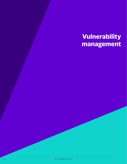# **Vulnerability management**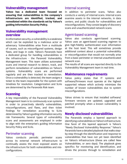# **Vulnerability management**

**Yahoo has a dedicated team focused on ensuring that vulnerabilities in the company's infrastructure are identified, tracked, and remediated within the standards set by Yahoo's guiding Information Security Policy.**

# **Vulnerability management overview**

In information security, a vulnerability is a weakness which can be exploited by a malicious actor or adversary. Vulnerabilities arise from a multitude of causes, such as misconfigured systems, design flaws, and bugs in code. Yahoo's Paranoids have a dedicated group for handling vulnerabilities in the infrastructure - the Paranoid Vulnerability Management team. This team utilizes automated scans and internal research to detect, track, and perform remediation of vulnerabilities on Yahoo's systems. Vulnerability scans are performed regularly and are then tracked to remediation. Once a vulnerability is detected, the team assigns a ticket to the team responsible for the system with timelines for resolution. Categorization and SLAs are determined by the Paranoids Risk team.

# **Scanning**

A key responsibility of the Paranoid Vulnerability Management team is to continuously scan systems in order to proactively identify vulnerabilities, misconfigurations, and flaws, and then ticket findings for remediation according to SLAs determined by Yahoo's guiding information security risk frameworks. Several types of vulnerability scans and assessments are employed in order to align with the enterprise's guiding Information Security Policy and SLAs.

# Perimeter scanning

Yahoo conducts periodic perimeter scans across its external network infrastructure to continually assess the most exposed assets on the infrastructure for both vulnerabilities and misconfigurations.

# Internal scanning

In addition to perimeter scans, Yahoo also conducts a variety of internal scans. Internal scans examine assets in the internal networks, in data centers, and public clouds for vulnerabilities and misconfigurations. They consist largely of discovery scans and unauthenticated network scans.

# Agent-based scanning

Yahoo also conducts agent-based scanning. Yahoo uses an agent-based scanning regimen to give high-fidelity authenticated scan information at the host level. This will sometimes provide additional context about a potential vulnerability or misconfiguration that would not normally arise from a basic perimeter or internal unauthenticated network scan.

The results of all scans are reported directly to the Vulnerability Management team in real time.

# **Maintenance requirements**

Yahoo policy states that IT systems and software/firmware must operate at the highest supported release which actively minimizes the number of known vulnerabilities due to system misconfigurations.

Yahoo strives to ensure that installed software/ firmware versions are updated, upgraded and patched promptly when a known vulnerability is involved.

# **Newly disclosed vulnerabilities**

The Paranoids employ a layered approach to identifying vulnerabilities on Yahoo's infrastructure. One facet of this layered approach is Yahoo's "Newly Disclosed Vulnerability Response." Yahoo's Paranoids have a detailed playbook that walks stepby-step through the identification and response to vulnerabilities that have not yet been identified on Yahoo's infrastructure (these are called New Vulnerabilities, or zero days). The playbook gives specifics for monitoring and identification, and drives the process through to remediation and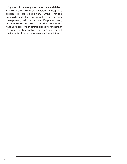mitigation of the newly discovered vulnerabilities. Yahoo's Newly Disclosed Vulnerability Response process is cross-disciplinary within Yahoo's Paranoids, including participants from security management, Yahoo's Incident Response team, and Yahoo's Security Bugs team. This provides the needed flexibility to the Paranoids to work together to quickly identify, analyze, triage, and understand the impacts of never-before-seen vulnerabilities.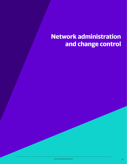# **Network administration and change control**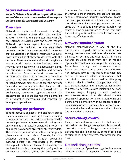# **Secure network administration**

**Yahoo's Network Operations organization uses state of the art tools to ensure that all enterprise systems operate seamlessly and securely.**

#### **Overview**

Network security is one of the most critical stage gates in securing Yahoo's data and services. Yahoo's network is the perimeter that encircles the enterprise's valuable data and assets. Yahoo's Network Operations organization and Yahoo's Paranoids are dedicated to the enterprise's network security. They are responsible for ensuring that no violations of Yahoo's Information Security Policy and guiding strategy are deployed onto the network. These teams are staffed with engineers who work with various Yahoo business units to not only remediate any existing network incidents, but also assist in hardening system and network infrastructure. Secure network administration at Yahoo considers a wide breadth of functions such as: utilizing industry standard network hardening mechanisms, ensuring that the network is standardized, making sure that changes to the network are well-defined and approved prior to deployment, conducting rigorous network risk assessments, and managing the implementation of preventative mechanisms and controls for emergency operations.

# **Defending the perimeter**

Yahoo's network engineers and engineers across their Paranoids teams have implemented a variety of industry standard controls in order to harden the network perimeter. Yahoo's network and system environments are logically separated in order to ensure the isolation and protection of sensitive data. This defined separation allows Yahoo to strategically place network tools such as firewalls, intrusion detection systems, and intrusion prevention systems across the infrastructure at critical choke points. Yahoo has teams of trained experts dedicated to both monitoring the configurations on network defense systems and reviewing the

logs coming from them to ensure that all threats to the network are thoroughly tracked and negated. Yahoo's information security compliance teams maintain rigorous sets of policies, standards, and procedures that all network perimeter operations abide by. These policies and procedures define, for example, how administrators at Yahoo configure the vast array of firewalls on the infrastructure up to secure, effective levels.

# **Network standardization**

Network standardization is one of the key philosophies that guides Yahoo's network security strategy. Network standardization eliminates oneoff cases on systems and ensures that all Yahoo systems, including those from any of Yahoo's legacy infrastructures can cooperate seamlessly. To achieve this high level of standardization, Yahoo uses a "zero-trust" paradigm in provisioning new network devices. This means that when new network devices are added, it is assumed that untrusted or trusted actors could be attempting to use it - this is a guiding principle that leads to total standardization and rigorous authentication of access to devices. Besides minimizing network resource usage, keeping network hardware and software standardized also allows a more streamlined approach to network monitoring and defense implementation. With full standardization, communication across personnel and infrastructure becomes simpler, and network security incidents become easier to manage.

# **Secure change control**

Change is inherent to any organization, but many do not realize that change management is, above all, a security issue. Each change to an organization's systems: the addition, removal, or modification of existing policies and systems, can introduce new risks.

#### Network change control

Yahoo's Network Operations organization values effective change management. Network policy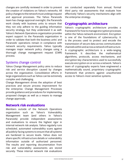changes are carefully reviewed in order to prevent the creation of violations on Yahoo's networks. All policy changes to the network must undergo request and approval processes. The Yahoo Paranoids team has change approval oversight; the Paranoids work closely with business units to ensure that they not only adhere to the guiding information security strategy, but they understand it as well. Yahoo's Network Operations organization provides expert support to the Paranoids organization in order to validate that both the business units' and Paranoids' operations remain in compliance with network security requirements. Yahoo typically manages major network policy changes using a thorough change management request (CMR) process.

# Systems change control

Yahoo Change Management policy aims to reduce risk and service disruption caused by changes across the organization. Consolidation efforts in large organizations such as Yahoo can be extremely complex and challenging.

Change Management drives the adoption of best practices and secure process improvement for the enterprise. Change Management Processes provide guidance and procedures for implementing proposed changes as well as a means to manage change approvals.

# **Network risk evaluations**

Members outside of the Network Operations organization such as Yahoo's Vulnerability Management team (and others in Yahoo's Paranoids) provide independent assessments and evaluations to ensure the highest rigor in internal network risk analysis. Yahoo regularly runs scheduled, automated vulnerability scans against all publicly facing systems to ensure that all systems are hardened to secure levels. Yahoo does not share specific infrastructure details or vulnerability information outside of authorized personnel. The results and reporting documentation from risk and vulnerability assessments are stored securely. These internal network risk evaluations are conducted separately from annual, formal third party risk assessments that evaluate how effectively Yahoo's security mechanisms align with the enterprise strategy.

# **Cryptographic architecture**

Yahoo's cryptographic architecture provides a framework for how to manage encryption processes within the Yahoo network environment. Encryption is one of the foundations of cybersecurity. It is the process used to protect and encode the transmission of secure data across communication channels within and across a network infrastructure. A cryptographic architecture is a wide-ranging framework. It describes the mathematical algorithms, protocols, access mechanisms, and encryption key characteristics used to successfully execute encryption on or across a network. Yahoo's team of cryptography experts have engineered a mathematically sound, proprietary cryptographic framework that protects against unauthorized access to Yahoo's most sensitive systems.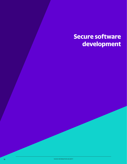# **Secure software development**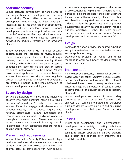# **Software security**

Secure software development at Yahoo ensures that applications are developed with security as a priority. Yahoo utilizes a secure product development methodology to help developers integrate security into the creation of applications. Yahoo's industry standard secure product development practices attempt to address security issues before they manifest in production systems. These mechanisms drive security assurance activities methodically throughout the product's lifecycle.

Yahoo developers work with in-house security experts, called the Paranoids, to review security requirements, implement architecture and design reviews, conduct code reviews, employ threat modeling, utilize web application security testing, conduct penetration testing, and practice secure by design methodologies to help bring Yahoo's projects and applications to a secure baseline. Yahoo's information security experts regularly present at conferences nationally and developers are trained in-house in the implementation of secure development methodologies.

# **Secure by design**

Software developers on Yahoo teams implement security into their software following a "Build Security In" paradigm. Security experts within Yahoo's Paranoids engage with developers to conduct security plan reviews, requirements reviews, architecture reviews, automated and manual code reviews, and remediation validation throughout development. These mechanisms strive to ensure that the technical security controls implemented in an application support Yahoo's guiding security strategy.

#### Planning and requirements

Yahoo's Information Security Policy provides high level information security requirements that teams strive to integrate into project requirements and analysis activities. Developers work with security experts to leverage assurance gates at the outset of project design to help the team understand risks during periodic checkpoints. Yahoo's development teams utilize software security plans to identify and baseline integrated security activities in order to achieve the appropriate level of product development security assurance against Yahoo's business objectives. Further, the team advises on patterns and antipatterns, secure feature development, and proper security testing/ QA.

# **Design**

Paranoids at Yahoo provide specialized expertise and guidance to developers in order to help ensure secure application design.

Development projects at Yahoo use threat modeling in order to support the deployment of layered defenses.

#### Implementation

Paranoids provide security training such as OWASPbased Web Application Security, Secure DevOps, Secure Development in Java, and other relevant role-based instructor-led training to developers. These trainings are periodically refreshed in order to stay abreast of the newest secure code industry standards.

Yahoo developers are trained in safe coding processes such as conducting frequent code analyses that can be integrated into developer build and deploy DevOps pipelines and only using development tools that pass Yahoo security checks.

#### **Testing**

During code development and implementation, developers use a variety of testing techniques such as dynamic analysis, fuzzing, and penetration testing to ensure applications behave properly and protect the confidentiality, integrity, and availability of data.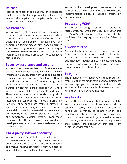### Release

Prior to the release of applications, Yahoo conducts final security checks, approves the release, and ensures the application complies with Yahoo's Information Security Policy.

#### Maintenance

Yahoo has several teams which monitor aspects of an application's security performance while it is fully operational through fully-fledged patch deployment, vulnerability management, and penetration testing mechanisms. Yahoo operates a renowned bug bounty program that leverages the external researcher community to continually identify vulnerabilities in production for subsequent remediation.

# **Security assurance and testing**

Yahoo strives to ensure that its software remains secure to the standards set by Yahoo's guiding Information Security Policy by utilizing advanced testing and review strategies. Developers attempt to validate the results of secure design and implementation through automated and manual penetration testing, manual code reviews, and a variety of vulnerability assessments and scans. These mechanisms work towards the goal of ensuring that code is written securely, executes as intended, and complies with Yahoo's Information Security Policy. Yahoo has teams dedicated to security architecture analysis, secure code review, vulnerability scanning, vulnerability management, bug bounty, cloud security, penetration testing, and compliance auditing. Experts from these teams work together and provide their expertise to developers in order to propagate the development of secure code.

# **Third party software security**

Yahoo has teams dedicated to conducting vendor risk assessments which, among other assessment areas, examine third party software. Automated and manual reviews are used to identify potential vulnerabilities in implemented code. Yahoo's secure product development mechanisms strive to ensure that third party and open source code implementation abides by Yahoo's Information Security Policy.

# **Protecting "CIA"**

Yahoo's secure design practices and standards raise confidence levels that security mechanisms in Yahoo's information systems protect the confidentiality, integrity, and availability of data, or "CIA."

# **Confidentiality**

Confidentiality is the notion that data is protected from disclosure to unauthorized third parties. Yahoo uses access controls and other secure authentication mechanisms to help ensure that the only people accessing sensitive data are those with proper, verifiable authorization.

#### Integrity

The integrity of information refers to its protection from unauthorized modification. Yahoo implements various cryptographic mechanisms to help provide assurance that data sent both across and from Yahoo's systems is sent as intended.

# Availability

Yahoo attempts to assure that information, data, and communication that flows across Yahoo's systems is readily available when it needs to be. Yahoo uses a variety of secure network and development strategies such as load balancing, over-provisioning bandwidth, cutting-edge network monitoring, and endpoint defense to help ensure that systems are adequately protected from denial-of-service attacks.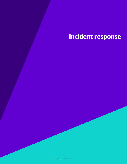# **Incident response**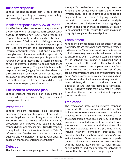#### **Incident response**

Yahoo's incident response plan is an organized approach to detecting, containing, remediating, and investigating security events.

#### Incident response overview at Yahoo

An effective incident response strategy is one of the cornerstones of an organization's cybersecurity posture. It dictates how exactly the organization responds to security incidents such as breaches, compromises, DDoS attacks, phishing attempts, etc. Yahoo has a detailed incident response plan that sits underneath the organization's Chief Information Security Officer (CISO) and is successful through close collaboration with the organization's business units. The response plan is periodically reviewed by both internal risk assessment teams as well as external auditors to ensure that there are no gaps in coverage. The plan details a specific response process (ranging from incident detection through incident remediation and lessons learned), escalation mechanisms, communication channels and methodologies, roles and responsibilities, and many other emergency considerations.

# **The incident response plan**

Yahoo's incident response plan documentation covers all of the major stages of incident management in depth.

# Preparation

Yahoo's incident response plan specifically enumerates the preparation phase of an incident. Yahoo's Legal team works closely with the Incident Response team to create effective standards, procedures, and runbooks which explain the roles, responsibilities, and mechanisms utilized to respond to any kind of incident contemplated on Yahoo's infrastructure. Detailed communication plans are outlined and consistently refreshed with updates based on changes to enterprise technology.

#### **Detection**

The incident response plan goes into detail on

the specific mechanisms that security teams at Yahoo use to detect events across the network infrastructure. Tools (both developed in-house and acquired from third parties), logging standards, declaration criteria, and severity analysis procedures are all determined. Securing digital evidence and proper chain of custody utilization is paramount here to ensure this data maintains integrity throughout the investigation.

#### Containment

Yahoo's incident response plan specifically details how incidents are contained once they are detected on the network. Yahoo's network infrastructure uses logical system segments and isolation mechanisms to ensure that, even if a breach occurs on one part of the network, this impact is minimized and it cannot spread to other parts of the network. Vital information systems are completely separate from the network to further minimize this risk. If one team's credentials are obtained by an unauthorized actor, Yahoo's access control mechanisms such as two-factor authentication, network segmentation, least privilege, dual control, and separation of duties all ensure that the damage is contained. Yahoo's extensive audit trails also make it easier to work on the next step in the incident response process, eradication.

#### Eradication

The eradication stage of an incident response plan details the mechanisms and workflows that incident response team members use to remediate incidents from the environment. A large part of the remediation is root cause analysis. Root cause analysis is conducted in order to understand both the source of the attack and the vulnerability the attack exploited. Some analysis mechanisms include network correlation strategies, log analysis, timeline analysis, and memory/string artifact analyses. Once the root cause is properly understood, network administrators work together with the incident response team to install trusted, secure patches, and then harden the network to ensure that the event cannot happen again.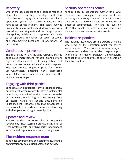#### Recovery

One of the key aspects of the incident response plan is the recovery stage. This stage is critical as it involves restoring systems back to pre-incident operations (while still having eradicated the root cause of the incident). This stage involves invoking business continuity & disaster recovery procedures, restoring systems from the appropriate checkpoints, validating that systems are ready to be operating in business as usual functions, and implementing Legal and PR operations (as necessary).

#### Continuous improvement

The final stage of the incident response plan is continuous improvement. Yahoo's Paranoids work together after incidents to formally debrief and determine lessons learned via after action reports. The team creates long-term plans for shoring up weaknesses, mitigating newly discovered vulnerabilities, and updating and improving the incident response plan.

# Engaging with third parties

Yahoo may rely on support from third parties or law enforcement organizations to offer supplemental or uniquely specialized services in order to assist in containing, eradicating and recovering from an attack. Yahoo has specific documentation in its incident response plan that establishes a framework for properly and securely interacting with third parties during an investigation.

#### Updates and review

Yahoo's incident response plan is frequently reviewed by risk assessment professionals, internal legal professionals, and third-party independent auditors and regulators to ensure thoroughness.

# **The incident response team**

Yahoo has several teams dedicated to securing the organization from malicious actors and activity.

#### Security operations center

Yahoo's Security Operations Center (the SOC) monitors and investigates security events on Yahoo systems using state of the art tools and data analysis to look for signs and signatures of potential compromises. They are the "eyes on glass" that initially protect the infrastructure and escalate the most severe security events.

# Incident responders

The incident responders are the experts at Yahoo who serve as the escalation point for severe security events. They conduct forensic analysis, manage and update the incident response plan (with input from many stakeholders), and regularly conduct their own analysis of security events on the infrastructure.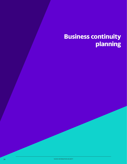# **Business continuity planning**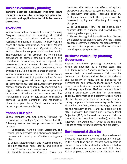# **Business continuity planning**

**Yahoo's Business Continuity Planning Team maintains responsible contingency plans for products and applications to minimize service disruption.**

#### **Overview**

Yahoo has a mature Business Continuity Planning Program responsible for ensuring all critical infrastructure, applications, and services are resilient in the event of disaster. The BCP Program spans the entire organization, sits within Yahoo's Infrastructure Services and Operations Group, and has the active support of Yahoo's Leadership. The objectives of this program are to minimize disruptions to service, safeguard sensitive and confidential information, and to respond and recover rapidly in the event of disruption. Yahoo provides a multi-failure disaster recovery capability by utilizing multiple hot sites across the globe.

Yahoo monitors service continuity with upstream providers in the event of provider failure. Service providers are governed under rigid service level agreements to ensure reliability. Upstream provider service continuity is continuously monitored and logged. Yahoo uses multiple service providers in support of critical infrastructure and has mechanisms in place for rapid cutover to maintain services. Business continuity and redundancy plans are in place for all Yahoo critical functions impacting customer availability.

# **Yahoo's BCP plan**

Yahoo complies with Contingency Planning for Information Technology Systems. Yahoo has the following mature practices, procedures, and tools in place:

1. Contingency Planning Policy Statement. The formal policy provides the authority and guidance necessary to develop an effective contingency plan

2. Checklist Requirements and Recommendation. The tier structure helps identify and prioritize critical IT systems and components

3. Multiple Preventive Controls. These are

measures that reduce the effects of system disruptions and increases system availability.

4. Recovery Strategies. Thorough recovery strategies ensure that the system can be recovered quickly and effectively following a disruption

5. IT Contingency Plan. The contingency plan contains detailed guidance and procedures for restoring a damaged system

6. Planned Testing, Training and Exercising. Testing the plan identifies planning gaps, whereas training prepares recovery personnel for plan activation; both activities improve plan effectiveness and overall agency preparedness

### **Business continuity planning Governance**

Business continuity planning procedures at Yahoo are governed by a central team. The BCP team reviews Yahoo's recovery plans and ensures their continued relevance. Yahoo and its network is architected with resiliency, redundancy and availability in mind, and is monitored for performance and problem identification. Yahoo incorporates business continuity capabilities into all delivery capabilities. Platforms are monitored using a proprietary algorithm for determining capacity, performance and security events. Yahoo also has formal processes for data ingestion and during component failover measuring the Recovery Time Objective (RTO, which is the target time set for the recovery of the IT and business activities after a disaster has struck) and Recovery Point Objective (RPO, is focused on data and Yahoo's loss tolerance in relation to the data), against the Recovery Time Actual (RTA, which is the real-time it takes to restore functionality to the property).

# **Environmental disaster**

Yahoo's data centers are strategically placed around the world in generally low environmental risk areas. In the event that one of Yahoo's data centers is impacted by a natural disaster, Yahoo will follow standard operating procedures and BCP plans. Yahoo employs a dedicated data operations team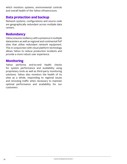which monitors systems, environmental controls and overall health of the Yahoo infrastructure.

# **Data protection and backup**

Network systems, configurations and source code are geographically redundant across multiple data centers.

# **Redundancy**

Yahoo ensures resiliency with a presence in multiple datacenters as well as regional and continental PoP sites that utilize redundant network equipment. This in conjunction with cloud platform technology allows Yahoo to reduce production incidents and provide a more robust user experience.

# **Monitoring**

Yahoo performs end-to-end health checks for system performance and availability using proprietary tools as well as third-party monitoring solutions. Yahoo also monitors the health of its sites as a whole, responding to regional issues and rerouting traffic when necessary to maintain optimal performance and availability for our customers.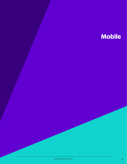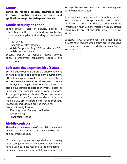# **Mobile**

**Yahoo has multiple security controls in place to ensure mobile devices, software, and applications are protected against threats.**

#### **Mobile security at Yahoo**

Yahoo actively relies on security policies to establish an authorized method for controlling mobile computing devices including but not limited to:

- Flash Drives
- Handheld Wireless Devices
- Mobile Peripherals (e.g. USB port devices, CDs, mobile hotspots, etc.)

Security policies surrounding mobile devices apply to employees, consultants, vendors, and contractors.

# **Software development kits (SDKs)**

Software development kits are a crucial component of Yahoo's mobile app development environment. SDKs allow engineers to integrate with new features and seamlessly access external services to create more dynamic application. However SDKs can also be susceptible to backdoor threats, potential improper data handling, and privacy violations. To mitigate potential threats, Yahoo has secure procedures in place for scenarios where third-party mobile SDKs are integrated with Yahoo products. Procedures include, but are not limited to: Product Security Reviews

- SDK Integration Architecture Review
- SDK Scanning
- Penetration Testing

# **Mobile controls**

The following are examples of controls implemented at Yahoo to mitigate and reduce unwanted behavior and potential exposure:

Mobile computing and storage devices containing or accessing information resources at Yahoo must have a valid business reason prior to connecting Personal communication, mobile computing, and storage devices are prohibited from storing any cardholder information

Approved company portable computing devices and electronic storage media that contain confidential cardholder data to other sensitive information must use encryption or equally strong measures to protect the data while it is being stored.

Laptops, PDAs, smartphones, and other mobile devices must require a valid MDM profile, including username and password, which enforces Yahoo security policy.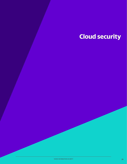# **Cloud security**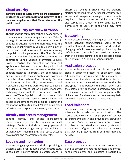# **Cloud security**

**Yahoo's cloud security controls are designed to protect the confidentiality and integrity of the data and applications that Yahoo stores on the public cloud.**

# **Cloud security overview at Yahoo**

The use of cloud computing technology and services continues to increase at a significant rate. Yahoo's strategy is no exception to this trend - Yahoo is continually putting more and more data onto the public cloud infrastructure due to cloud's superior performance and scalability. At Yahoo, securing the public cloud is paramount. The Cloud Security team at Yahoo describes a set of requirements and controls to uphold Yahoo's Information Security Policy regarding the protection of data and applications that are hosted on the public cloud infrastructure. Yahoo uses numerous cloud security controls designed to protect the confidentiality and integrity of its data and applications hosted on the public cloud. Yahoo's Cloud Security, Security Architecture, Vulnerability Management, and Risk/Compliance teams work together to develop and deploy a robust set of policies, standards, technologies, and controls to bolster and drive the security of Yahoo's public cloud. Yahoo has explicit security requirements ranging from identity and access management mechanisms to logging and monitoring systems to uphold Yahoo's public cloud infrastructure to appropriate security standards.

#### **Identity and access management**

Yahoo's identity and access management requirements abide by the principle of least privilege. Controls include a strong password and access key management policy, multifactor authentication requirements, and strict account provisioning and revocation requirements.

# **Logging and monitoring**

A robust logging system is critical to providing a detective control for the public cloud infrastructure. Yahoo uses industry standard configurations to ensure that events in critical logs are properly alerting authorized Yahoo personnel. Unauthorized access and unexpected changes to resources is required to be monitored on all instances. This also serves as a check for incorrectly assigned permissions to users at Yahoo who may have received unintended access.

#### **Networking**

Yahoo account owners are required to establish secure network configurations. Some of the industry-standard configurations used include changing default resource settings (including the default access control list) and restricting inbound traffic to explicit destinations and protocols using carefully crafted ACLs on all Yahoo subnets.

#### Application protection

Yahoo implements several controls on the public cloud in order to protect its application stack. All connections are required to be encrypted to ensure that the data transmitted is protected. Using encrypted transmissions can ensure that the encrypted traffic between the edge servers and the custom origin cannot be unsealed by malicious users in case they are able to capture packets. The ciphers used for these transmissions are regularly reviewed to ensure they are not outdated.

# Load balancers

Yahoo uses load balancing to ensure that fault tolerance is provided across applications. The load balancer serves as a single point of contact to ensure availability and prevent the disruption of service. Yahoo's account owners are required to follow a centralized cloud security standard to securely configure load balancers and ensure that they are protected from potential malicious activity.

#### Data protection

Yahoo has several standards and controls in place to protect the data transmitted and stored. Yahoo implements and maintains a robust key